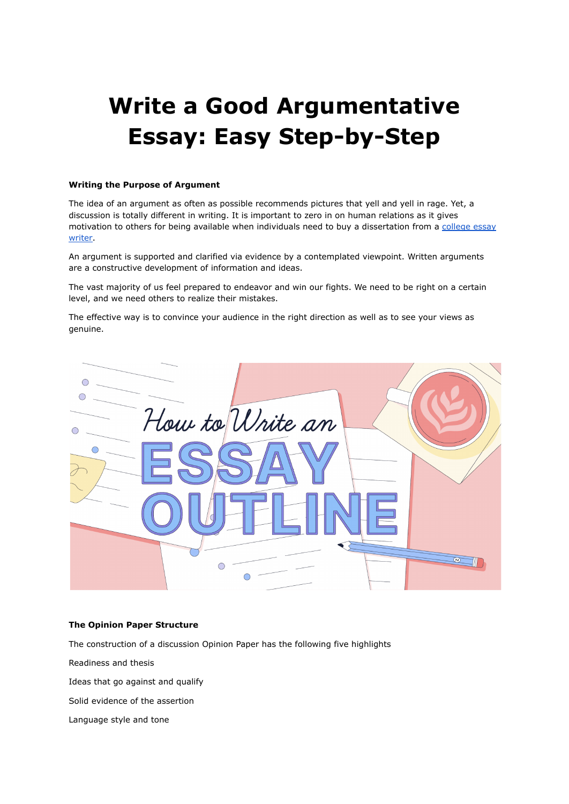# **Write a Good Argumentative Essay: Easy Step-by-Step**

#### **Writing the Purpose of Argument**

The idea of an argument as often as possible recommends pictures that yell and yell in rage. Yet, a discussion is totally different in writing. It is important to zero in on human relations as it gives motivation to others for being available when individuals need to buy a dissertation from a [college](https://www.collegeessay.org/) essay [writer.](https://www.collegeessay.org/)

An argument is supported and clarified via evidence by a contemplated viewpoint. Written arguments are a constructive development of information and ideas.

The vast majority of us feel prepared to endeavor and win our fights. We need to be right on a certain level, and we need others to realize their mistakes.

The effective way is to convince your audience in the right direction as well as to see your views as genuine.



# **The Opinion Paper Structure**

The construction of a discussion Opinion Paper has the following five highlights

Readiness and thesis

Ideas that go against and qualify

Solid evidence of the assertion

Language style and tone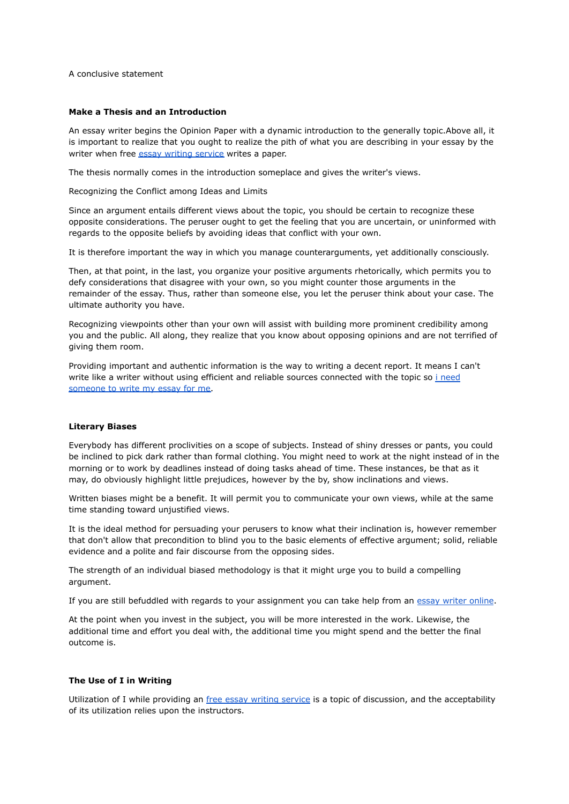A conclusive statement

### **Make a Thesis and an Introduction**

An essay writer begins the Opinion Paper with a dynamic introduction to the generally topic.Above all, it is important to realize that you ought to realize the pith of what you are describing in your essay by the writer when free essay writing [service](https://www.essaywriter.college/) writes a paper.

The thesis normally comes in the introduction someplace and gives the writer's views.

Recognizing the Conflict among Ideas and Limits

Since an argument entails different views about the topic, you should be certain to recognize these opposite considerations. The peruser ought to get the feeling that you are uncertain, or uninformed with regards to the opposite beliefs by avoiding ideas that conflict with your own.

It is therefore important the way in which you manage counterarguments, yet additionally consciously.

Then, at that point, in the last, you organize your positive arguments rhetorically, which permits you to defy considerations that disagree with your own, so you might counter those arguments in the remainder of the essay. Thus, rather than someone else, you let the peruser think about your case. The ultimate authority you have.

Recognizing viewpoints other than your own will assist with building more prominent credibility among you and the public. All along, they realize that you know about opposing opinions and are not terrified of giving them room.

Providing important and authentic information is the way to writing a decent report. It means I can't write like a writer without using efficient and reliable sources connected with the topic so i [need](https://www.sharkpapers.com/write-my-essay/is-it-possible-to-pay-someone-to-write-my-college-essay) [someone](https://www.sharkpapers.com/write-my-essay/is-it-possible-to-pay-someone-to-write-my-college-essay) to write my essay for me.

#### **Literary Biases**

Everybody has different proclivities on a scope of subjects. Instead of shiny dresses or pants, you could be inclined to pick dark rather than formal clothing. You might need to work at the night instead of in the morning or to work by deadlines instead of doing tasks ahead of time. These instances, be that as it may, do obviously highlight little prejudices, however by the by, show inclinations and views.

Written biases might be a benefit. It will permit you to communicate your own views, while at the same time standing toward unjustified views.

It is the ideal method for persuading your perusers to know what their inclination is, however remember that don't allow that precondition to blind you to the basic elements of effective argument; solid, reliable evidence and a polite and fair discourse from the opposing sides.

The strength of an individual biased methodology is that it might urge you to build a compelling argument.

If you are still befuddled with regards to your assignment you can take help from an essay writer [online](https://www.freeessaywriter.net/).

At the point when you invest in the subject, you will be more interested in the work. Likewise, the additional time and effort you deal with, the additional time you might spend and the better the final outcome is.

# **The Use of I in Writing**

Utilization of I while providing an free essay writing [service](https://www.essaywritingservice.college/) is a topic of discussion, and the acceptability of its utilization relies upon the instructors.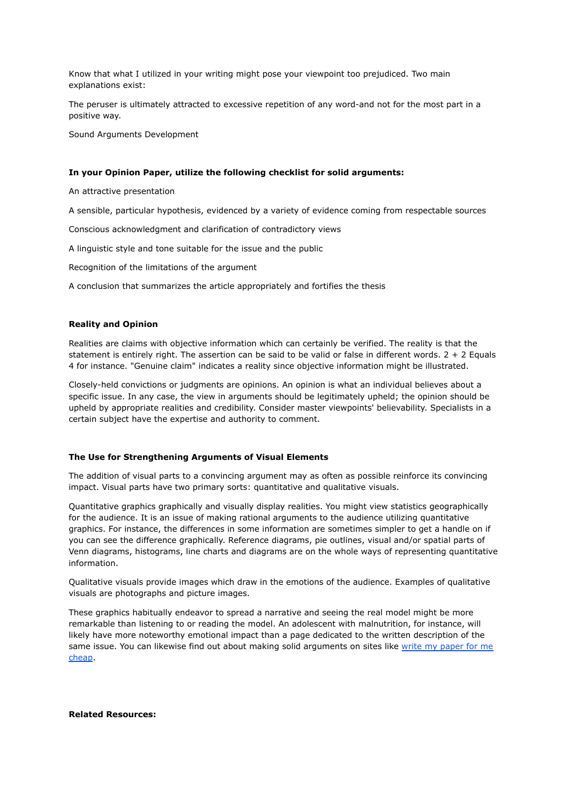Know that what I utilized in your writing might pose your viewpoint too prejudiced. Two main explanations exist:

The peruser is ultimately attracted to excessive repetition of any word-and not for the most part in a positive way.

Sound Arguments Development

## **In your Opinion Paper, utilize the following checklist for solid arguments:**

An attractive presentation

A sensible, particular hypothesis, evidenced by a variety of evidence coming from respectable sources

Conscious acknowledgment and clarification of contradictory views

A linguistic style and tone suitable for the issue and the public

Recognition of the limitations of the argument

A conclusion that summarizes the article appropriately and fortifies the thesis

#### **Reality and Opinion**

Realities are claims with objective information which can certainly be verified. The reality is that the statement is entirely right. The assertion can be said to be valid or false in different words.  $2 + 2$  Equals 4 for instance. "Genuine claim" indicates a reality since objective information might be illustrated.

Closely-held convictions or judgments are opinions. An opinion is what an individual believes about a specific issue. In any case, the view in arguments should be legitimately upheld; the opinion should be upheld by appropriate realities and credibility. Consider master viewpoints' believability. Specialists in a certain subject have the expertise and authority to comment.

#### **The Use for Strengthening Arguments of Visual Elements**

The addition of visual parts to a convincing argument may as often as possible reinforce its convincing impact. Visual parts have two primary sorts: quantitative and qualitative visuals.

Quantitative graphics graphically and visually display realities. You might view statistics geographically for the audience. It is an issue of making rational arguments to the audience utilizing quantitative graphics. For instance, the differences in some information are sometimes simpler to get a handle on if you can see the difference graphically. Reference diagrams, pie outlines, visual and/or spatial parts of Venn diagrams, histograms, line charts and diagrams are on the whole ways of representing quantitative information.

Qualitative visuals provide images which draw in the emotions of the audience. Examples of qualitative visuals are photographs and picture images.

These graphics habitually endeavor to spread a narrative and seeing the real model might be more remarkable than listening to or reading the model. An adolescent with malnutrition, for instance, will likely have more noteworthy emotional impact than a page dedicated to the written description of the same issue. You can likewise find out about making solid arguments on sites like write my [paper](https://www.myperfectpaper.net/write-my-paper) for me [cheap](https://www.myperfectpaper.net/write-my-paper).

**Related Resources:**